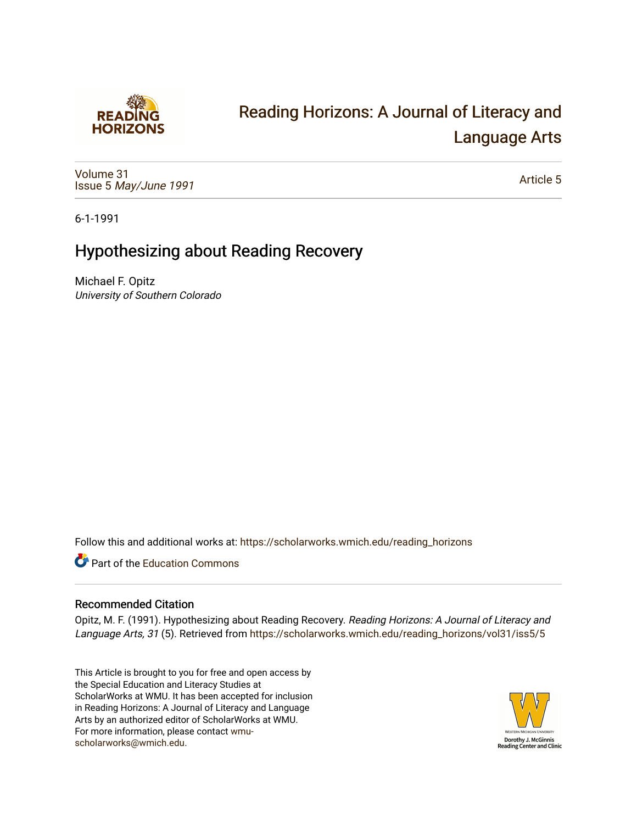

# [Reading Horizons: A Journal of Literacy and](https://scholarworks.wmich.edu/reading_horizons)  [Language Arts](https://scholarworks.wmich.edu/reading_horizons)

[Volume 31](https://scholarworks.wmich.edu/reading_horizons/vol31) Issue 5 [May/June 1991](https://scholarworks.wmich.edu/reading_horizons/vol31/iss5) 

[Article 5](https://scholarworks.wmich.edu/reading_horizons/vol31/iss5/5) 

6-1-1991

## Hypothesizing about Reading Recovery

Michael F. Opitz University of Southern Colorado

Follow this and additional works at: [https://scholarworks.wmich.edu/reading\\_horizons](https://scholarworks.wmich.edu/reading_horizons?utm_source=scholarworks.wmich.edu%2Freading_horizons%2Fvol31%2Fiss5%2F5&utm_medium=PDF&utm_campaign=PDFCoverPages)

**C** Part of the [Education Commons](http://network.bepress.com/hgg/discipline/784?utm_source=scholarworks.wmich.edu%2Freading_horizons%2Fvol31%2Fiss5%2F5&utm_medium=PDF&utm_campaign=PDFCoverPages)

#### Recommended Citation

Opitz, M. F. (1991). Hypothesizing about Reading Recovery. Reading Horizons: A Journal of Literacy and Language Arts, 31 (5). Retrieved from [https://scholarworks.wmich.edu/reading\\_horizons/vol31/iss5/5](https://scholarworks.wmich.edu/reading_horizons/vol31/iss5/5?utm_source=scholarworks.wmich.edu%2Freading_horizons%2Fvol31%2Fiss5%2F5&utm_medium=PDF&utm_campaign=PDFCoverPages)

This Article is brought to you for free and open access by the Special Education and Literacy Studies at ScholarWorks at WMU. It has been accepted for inclusion in Reading Horizons: A Journal of Literacy and Language Arts by an authorized editor of ScholarWorks at WMU. For more information, please contact [wmu](mailto:wmu-scholarworks@wmich.edu)[scholarworks@wmich.edu.](mailto:wmu-scholarworks@wmich.edu)

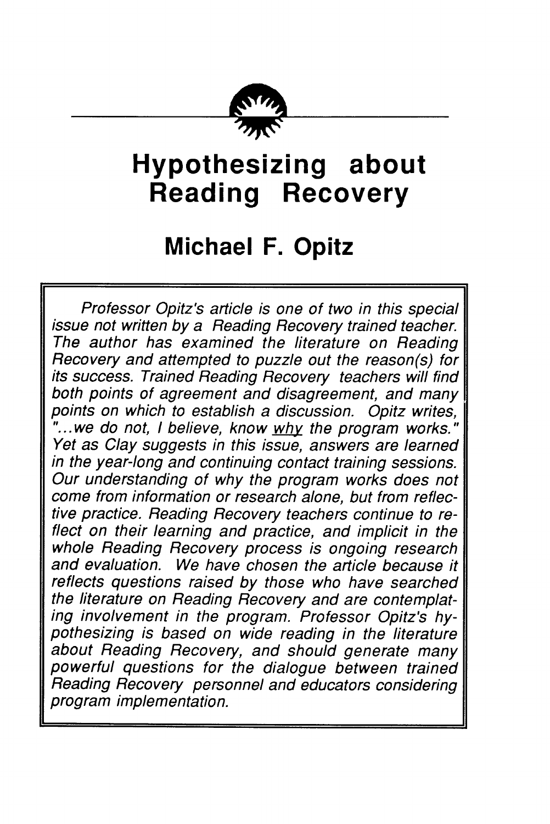

# *Hypothesizing about Reading Recovery*

## *Michael F. Opitz*

**Professor Opitz's article is one of two in this special issue not written by a Reading Recovery trained teacher. The author has examined the literature on Reading Recovery and attempted to puzzle out the reason(s) for its success. Trained Reading Recovery teachers will find both points of agreement and disagreement, and many points on which to establish a discussion. Opitz writes, "...we do not, I believe, know why the program works." Yet as Clay suggests in this issue, answers are learned in the year-long and continuing contact training sessions. Our understanding of why the program works does not come from information or research alone, but from reflec tive practice. Reading Recovery teachers continue to re flect on their learning and practice, and implicit in the whole Reading Recovery process is ongoing research and evaluation. We have chosen the article because it reflects questions raised by those who have searched the literature on Reading Recovery and are contemplat ing involvement in the program. Professor Opitz's hy pothesizing is based on wide reading in the literature about Reading Recovery, and should generate many powerful questions for the dialogue between trained Reading Recovery personnel and educators considering program implementation.**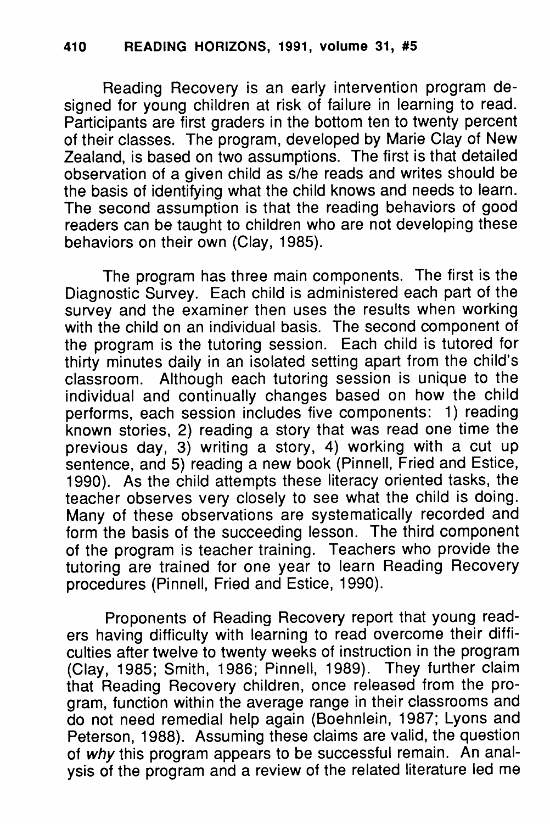Reading Recovery is an early intervention program de signed for young children at risk of failure in learning to read. Participants are first graders in the bottom ten to twenty percent of their classes. The program, developed by Marie Clay of New Zealand, is based on two assumptions. The first is that detailed observation of a given child as s/he reads and writes should be the basis of identifying what the child knows and needs to learn. The second assumption is that the reading behaviors of good readers can be taught to children who are not developing these behaviors on their own (Clay, 1985).

The program has three main components. The first is the Diagnostic Survey. Each child is administered each part of the survey and the examiner then uses the results when working with the child on an individual basis. The second component of the program is the tutoring session. Each child is tutored for thirty minutes daily in an isolated setting apart from the child's classroom. Although each tutoring session is unique to the individual and continually changes based on how the child performs, each session includes five components: 1) reading known stories, 2) reading a story that was read one time the previous day, 3) writing a story, 4) working with a cut up sentence, and 5) reading a new book (Pinnell, Fried and Estice, 1990). As the child attempts these literacy oriented tasks, the teacher observes very closely to see what the child is doing. Many of these observations are systematically recorded and form the basis of the succeeding lesson. The third component of the program is teacher training. Teachers who provide the tutoring are trained for one year to learn Reading Recovery procedures (Pinnell, Fried and Estice, 1990).

Proponents of Reading Recovery report that young read ers having difficulty with learning to read overcome their diffi culties after twelve to twenty weeks of instruction in the program (Clay, 1985; Smith, 1986; Pinnell, 1989). They further claim that Reading Recovery children, once released from the pro gram, function within the average range in their classrooms and do not need remedial help again (Boehnlein, 1987; Lyons and Peterson, 1988). Assuming these claims are valid, the question of **why** this program appears to be successful remain. An anal ysis of the program and a review of the related literature led me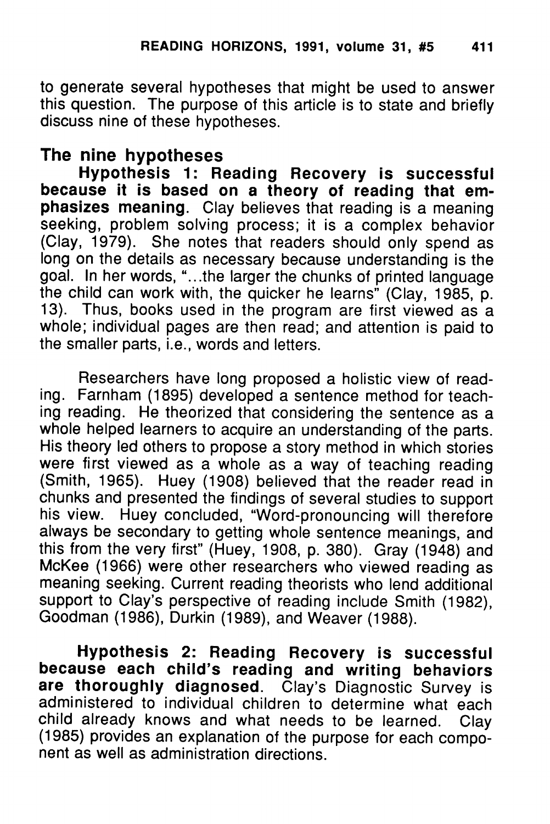to generate several hypotheses that might be used to answer this question. The purpose of this article is to state and briefly discuss nine of these hypotheses.

### *The nine hypotheses*

*Hypothesis 1: Reading Recovery is successful because it is based on a theory of reading that em phasizes meaning.* Clay believes that reading is a meaning seeking, problem solving process; it is a complex behavior (Clay, 1979). She notes that readers should only spend as long on the details as necessary because understanding is the goal. In her words, "...the larger the chunks of printed language the child can work with, the quicker he learns" (Clay, 1985, p. 13). Thus, books used in the program are first viewed as a whole; individual pages are then read; and attention is paid to the smaller parts, i.e., words and letters.

Researchers have long proposed a holistic view of read ing. Farnham (1895) developed a sentence method for teach ing reading. He theorized that considering the sentence as a whole helped learners to acquire an understanding of the parts. His theory led others to propose a story method in which stories were first viewed as a whole as a way of teaching reading (Smith, 1965). Huey (1908) believed that the reader read in chunks and presented the findings of several studies to support his view. Huey concluded, "Word-pronouncing will therefore always be secondary to getting whole sentence meanings, and this from the very first" (Huey, 1908, p. 380). Gray (1948) and McKee (1966) were other researchers who viewed reading as meaning seeking. Current reading theorists who lend additional support to Clay's perspective of reading include Smith (1982), Goodman (1986), Durkin (1989), and Weaver (1988).

*Hypothesis 2: Reading Recovery is successful because each child's reading and writing behaviors are thoroughly diagnosed.* Clay's Diagnostic Survey is administered to individual children to determine what each child already knows and what needs to be learned. Clay (1985) provides an explanation of the purpose for each compo nent as well as administration directions.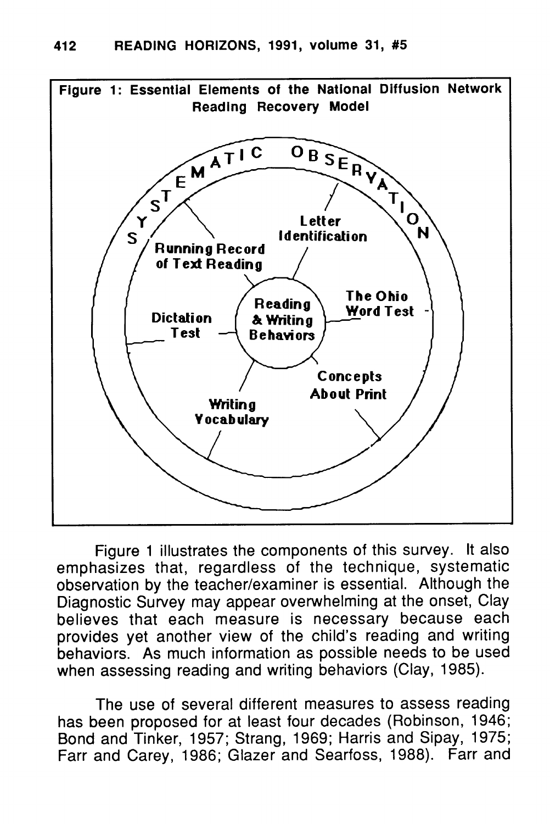

*Figure 1 illustrates the components of this survey. It also emphasizes that, regardless of the technique, systematic observation by the teacher/examiner is essential. Although the Diagnostic Survey may appear overwhelming at the onset, Clay believes that each measure is necessary because each provides yet another view of the child's reading and writing behaviors. As much information as possible needs to be used when assessing reading and writing behaviors (Clay, 1985).*

*The use of several different measures to assess reading has been proposed for at least four decades (Robinson, 1946; Bond and Tinker, 1957; Strang, 1969; Harris and Sipay, 1975; Farr and Carey, 1986; Glazer and Searfoss, 1988). Farr and*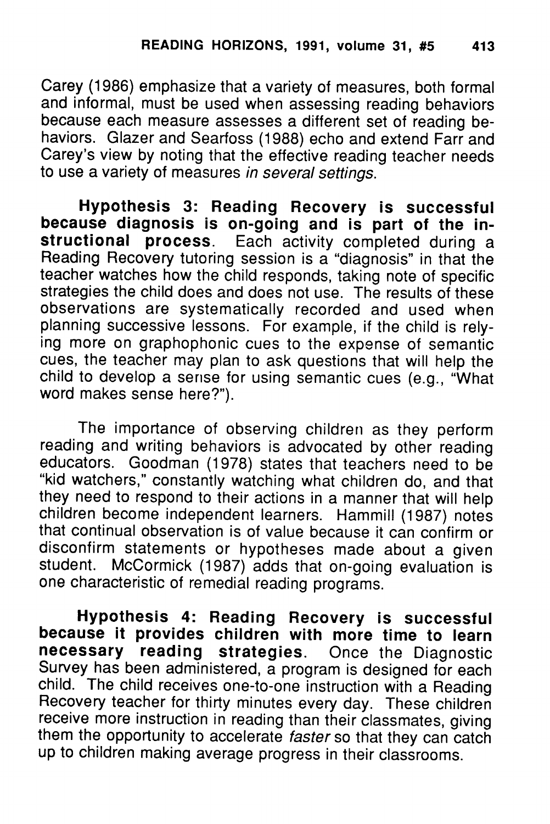Carey (1986) emphasize that a variety of measures, both formal and informal, must be used when assessing reading behaviors because each measure assesses a different set of reading be haviors. Glazer and Searfoss (1988) echo and extend Farr and Carey's view by noting that the effective reading teacher needs to use a variety of measures **in several settings.**

*Hypothesis 3: Reading Recovery is successful because diagnosis is on-going and is part of the in structional process.* Each activity completed during a Reading Recovery tutoring session is a "diagnosis" in that the teacher watches how the child responds, taking note of specific strategies the child does and does not use. The results of these observations are systematically recorded and used when planning successive lessons. For example, if the child is rely ing more on graphophonic cues to the expense of semantic cues, the teacher may plan to ask questions that will help the child to develop a sense for using semantic cues (e.g., "What word makes sense here?").

The importance of observing children as they perform reading and writing behaviors is advocated by other reading educators. Goodman (1978) states that teachers need to be "kid watchers," constantly watching what children do, and that they need to respond to their actions in a manner that will help children become independent learners. Hammill (1987) notes that continual observation is of value because it can confirm or disconfirm statements or hypotheses made about a given student. McCormick (1987) adds that on-going evaluation is one characteristic of remedial reading programs.

*Hypothesis 4: Reading Recovery is successful because it provides children with more time to learn necessary reading strategies.* Once the Diagnostic Survey has been administered, a program is designed for each child. The child receives one-to-one instruction with a Reading Recovery teacher for thirty minutes every day. These children receive more instruction in reading than their classmates, giving them the opportunity to accelerate **faster** so that they can catch up to children making average progress in their classrooms.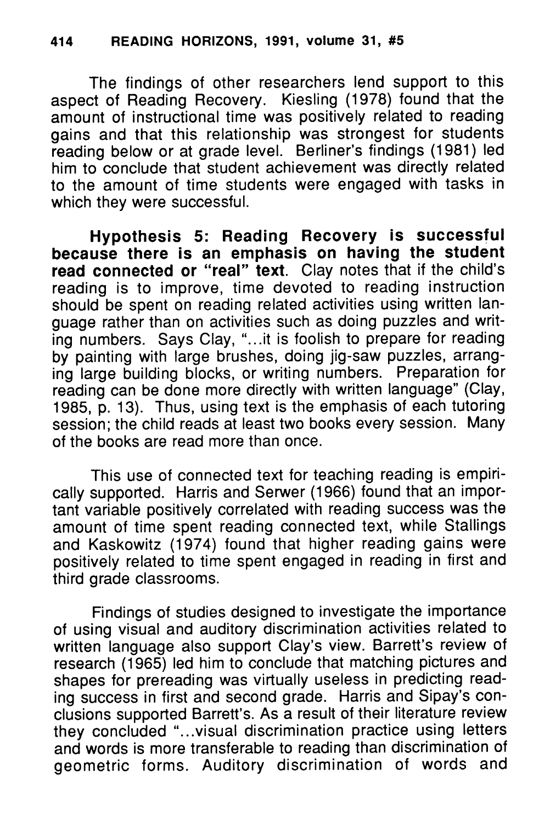The findings of other researchers lend support to this aspect of Reading Recovery. Kiesling (1978) found that the amount of instructional time was positively related to reading gains and that this relationship was strongest for students reading below or at grade level. Berliner's findings (1981) led him to conclude that student achievement was directly related to the amount of time students were engaged with tasks in which they were successful.

*Hypothesis 5: Reading Recovery is successful because there is an emphasis on having the student read connected or "real" text.* Clay notes that if the child's reading is to improve, time devoted to reading instruction should be spent on reading related activities using written language rather than on activities such as doing puzzles and writ ing numbers. Says Clay, "...it is foolish to prepare for reading by painting with large brushes, doing jig-saw puzzles, arrang ing large building blocks, or writing numbers. Preparation for reading can be done more directly with written language" (Clay, 1985, p. 13). Thus, using text is the emphasis of each tutoring session; the child reads at least two books every session. Many of the books are read more than once.

This use of connected text for teaching reading is empiri cally supported. Harris and Serwer (1966) found that an impor tant variable positively correlated with reading success was the amount of time spent reading connected text, while Stallings and Kaskowitz (1974) found that higher reading gains were positively related to time spent engaged in reading in first and third grade classrooms.

Findings of studies designed to investigate the importance of using visual and auditory discrimination activities related to written language also support Clay's view. Barrett's review of research (1965) led him to conclude that matching pictures and shapes for prereading was virtually useless in predicting read ing success in first and second grade. Harris and Sipay's con clusions supported Barrett's. As a result of their literature review they concluded "...visual discrimination practice using letters and words is more transferable to reading than discrimination of geometric forms. Auditory discrimination of words and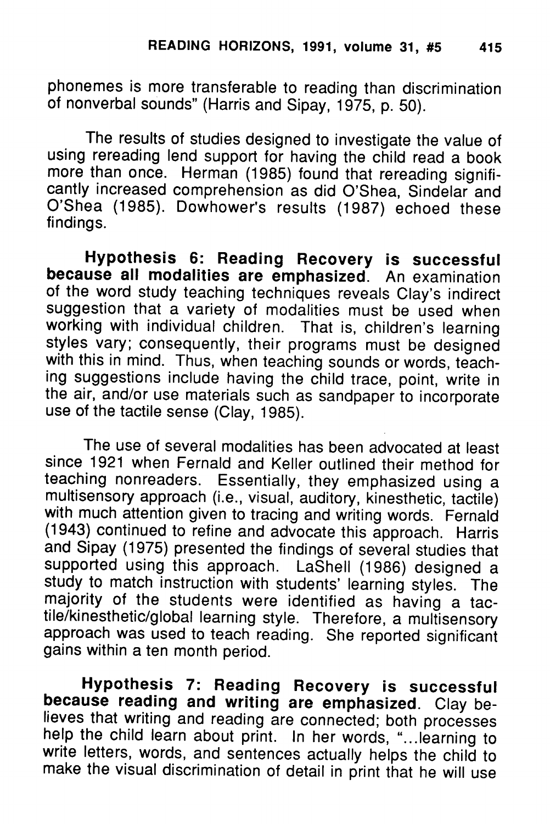phonemes is more transferable to reading than discrimination of nonverbal sounds" (Harris and Sipay, 1975, p. 50).

The results of studies designed to investigate the value of using rereading lend support for having the child read a book more than once. Herman (1985) found that rereading signifi cantly increased comprehension as did O'Shea, Sindelar and O'Shea (1985). Dowhower's results (1987) echoed these findings.

*Hypothesis 6: Reading Recovery is successful because all modalities are emphasized.* An examination of the word study teaching techniques reveals Clay's indirect suggestion that a variety of modalities must be used when working with individual children. That is, children's learning styles vary; consequently, their programs must be designed with this in mind. Thus, when teaching sounds or words, teaching suggestions include having the child trace, point, write in the air, and/or use materials such as sandpaper to incorporate use of the tactile sense (Clay, 1985).

The use of several modalities has been advocated at least since 1921 when Fernald and Keller outlined their method for teaching nonreaders. Essentially, they emphasized using a multisensory approach (i.e., visual, auditory, kinesthetic, tactile) with much attention given to tracing and writing words. Fernald (1943) continued to refine and advocate this approach. Harris and Sipay (1975) presented the findings of several studies that supported using this approach. LaShell (1986) designed a study to match instruction with students' learning styles. The majority of the students were identified as having a tactile/kinesthetic/global learning style. Therefore, a multisensory approach was used to teach reading. She reported significant gains within a ten month period.

*Hypothesis 7: Reading Recovery is successful because reading and writing are emphasized.* Clay be help the child learn about print. In her words, "....learning to write letters, words, and sentences actually helps the child to make the visual discrimination of detail in print that he will use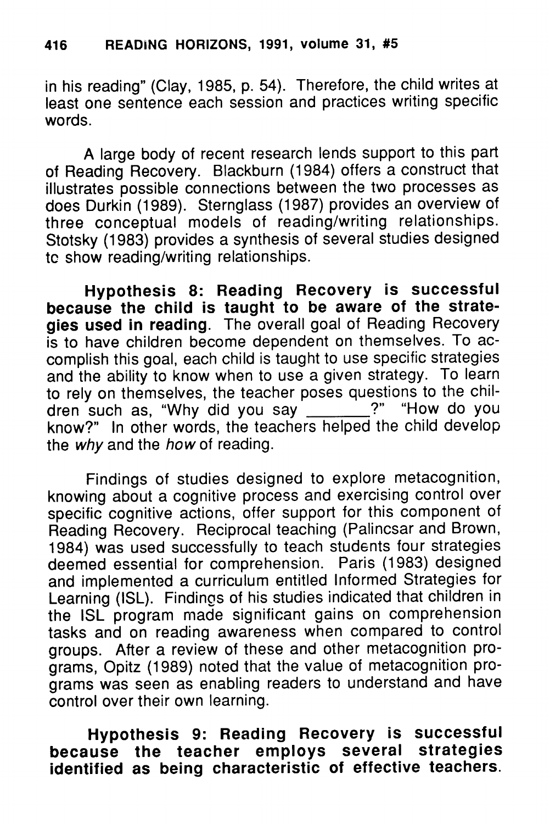in his reading" (Clay, 1985, p. 54). Therefore, the child writes at least one sentence each session and practices writing specific words.

A large body of recent research lends support to this part of Reading Recovery. Blackburn (1984) offers a construct that illustrates possible connections between the two processes as does Durkin (1989). Sternglass (1987) provides an overview of three conceptual models of reading/writing relationships. Stotsky (1983) provides a synthesis of several studies designed tc show reading/writing relationships.

*Hypothesis 8: Reading Recovery is successful because the child is taught to be aware of the strate gies used in reading.* The overall goal of Reading Recovery is to have children become dependent on themselves. To ac complish this goal, each child is taught to use specific strategies and the ability to know when to use a given strategy. To learn to rely on themselves, the teacher poses questions to the children such as, "Why did you say \_\_\_\_\_\_\_?" "How do you know?" In other words, the teachers helped the child develop the **why** and the **how** of reading.

Findings of studies designed to explore metacognition, knowing about a cognitive process and exercising control over specific cognitive actions, offer support for this component of Reading Recovery. Reciprocal teaching (Palincsar and Brown, 1984) was used successfully to teach students four strategies deemed essential for comprehension. Paris (1983) designed and implemented a curriculum entitled Informed Strategies for Learning (ISL). Findings of his studies indicated that children in the ISL program made significant gains on comprehension tasks and on reading awareness when compared to control groups. After a review of these and other metacognition pro grams, Opitz (1989) noted that the value of metacognition pro grams was seen as enabling readers to understand and have control over their own learning.

*Hypothesis 9: Reading Recovery is successful* **because** the **teacher** employs several *identified as being characteristic of effective teachers.*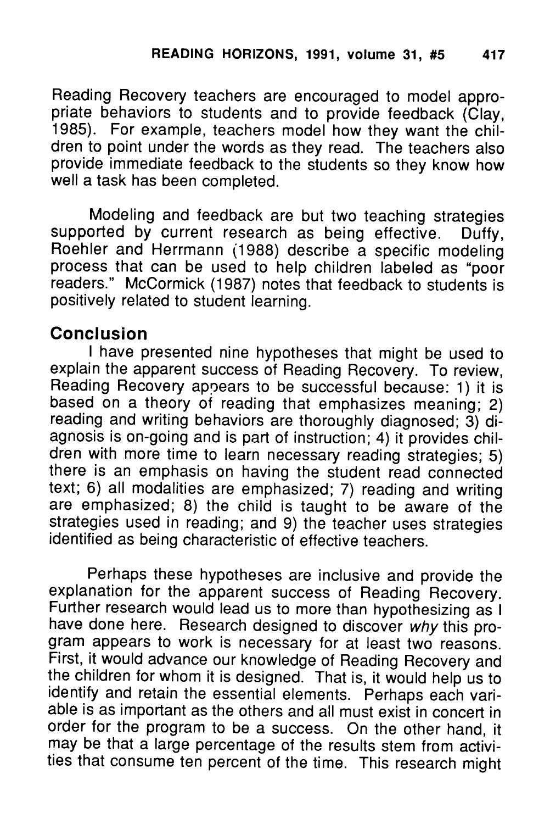Reading Recovery teachers are encouraged to model appro priate behaviors to students and to provide feedback (Clay, 1985). For example, teachers model how they want the chil dren to point under the words as they read. The teachers also provide immediate feedback to the students so they know how well a task has been completed.

Modeling and feedback are but two teaching strategies supported by current research as being effective. Duffy, Roehler and Herrmann (1988) describe a specific modeling process that can be used to help children labeled as "poor readers." McCormick (1987) notes that feedback to students is positively related to student learning.

#### *Conclusion*

I have presented nine hypotheses that might be used to explain the apparent success of Reading Recovery. To review, Reading Recovery appears to be successful because: 1) it is based on a theory of reading that emphasizes meaning; 2) reading and writing behaviors are thoroughly diagnosed; 3) diagnosis is on-going and is part of instruction; 4) it provides chil dren with more time to learn necessary reading strategies; 5) there is an emphasis on having the student read connected text; 6) all modalities are emphasized; 7) reading and writing are emphasized; 8) the child is taught to be aware of the strategies used in reading; and 9) the teacher uses strategies identified as being characteristic of effective teachers.

Perhaps these hypotheses are inclusive and provide the explanation for the apparent success of Reading Recovery. Further research would lead us to more than hypothesizing as I have done here. Research designed to discover **why** this pro gram appears to work is necessary for at least two reasons. First, it would advance our knowledge of Reading Recovery and the children for whom it is designed. That is, it would help us to identify and retain the essential elements. Perhaps each variable is as important as the others and all must exist in concert in order for the program to be a success. On the other hand, it may be that a large percentage of the results stem from activi ties that consume ten percent of the time. This research might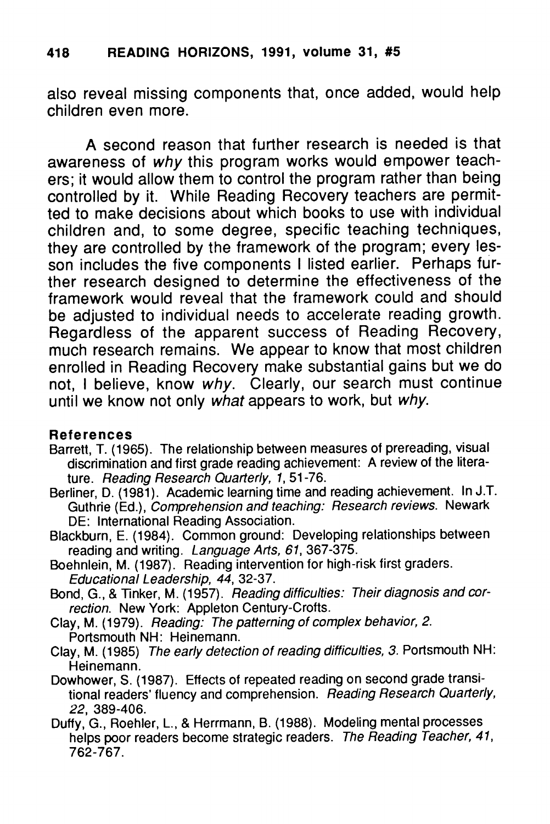#### *418 READING HORIZONS, 1991, volume 31, #5*

*also reveal missing components that, once added, would help children even more.*

*A second reason that further research is needed is that awareness of why this program works would empower teach ers; it would allow them to control the program rather than being controlled by it. While Reading Recovery teachers are permit ted to make decisions about which books to use with individual children and, to some degree, specific teaching techniques, they are controlled by the framework of the program; every les son includes the five components I listed earlier. Perhaps fur ther research designed to determine the effectiveness of the framework would reveal that the framework could and should be adjusted to individual needs to accelerate reading growth. Regardless of the apparent success of Reading Recovery, much research remains. We appear to know that most children enrolled in Reading Recovery make substantial gains but we do not, I believe, know why. Clearly, our search must continue until we know not only what appears to work, but why.*

#### *References*

- Barrett, T. (1965). The relationship between measures of prereading, visual discrimination and first grade reading achievement: A review of the litera ture. **Reading Research Quarterly, 1,** 51-76.
- Berliner, D. (1981). Academic learning time and reading achievement. In J.T. Guthrie (Ed.), **Comprehension and teaching: Research reviews.** Newark DE: International Reading Association.
- Blackburn, E. (1984). Common ground: Developing relationships between reading and writing. **Language Arts, 61,** 367-375.
- Boehnlein, M. (1987). Reading intervention for high-risk first graders. **Educational Leadership, 44,** 32-37.
- Bond, G., &Tinker, M. (1957). **Reading difficulties: Their diagnosis and cor rection.** New York: Appleton Century-Crofts.
- Clay, M. (1979). **Reading: The patterning of complexbehavior, 2.** Portsmouth NH: Heinemann.
- Clay, M. (1985) **The early detection of reading difficulties, 3.** Portsmouth NH: Heinemann.
- Dowhower, S. (1987). Effects of repeated reading on second grade transi tional readers' fluency and comprehension. **Reading Research Quarterly, 22,** 389-406.
- Duffy, G., Roehler, L, & Herrmann, B. (1988). Modeling mental processes helps poor readers become strategic readers. The Reading Teacher, 41, 762-767.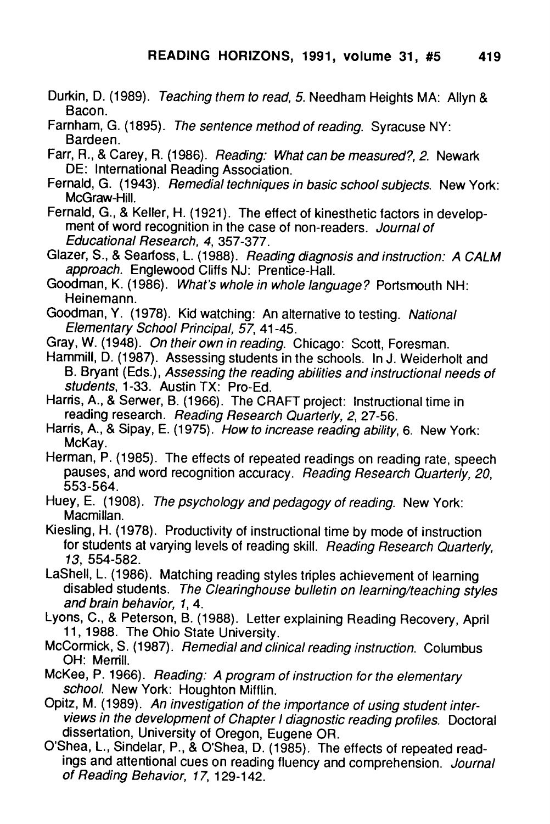- Durkin, D. (1989). **Teaching themto read, 5.** Needham Heights MA: Allyn & Bacon.
- Farnham, G. (1895). **The sentence methodof reading.** Syracuse NY: Bardeen.
- Farr, R., &Carey, R. (1986). **Reading: What can be measured?, 2.** Newark DE: International Reading Association.
- Fernald, G. (1943). Remedial techniques in basic school subjects. New York: McGraw-Hill.
- Fernald, G., & Keller, H. (1921). The effect of kinesthetic factors in development of word recognition in the case of non-readers. **Journal of Educational Research, 4,** 357-377.
- Glazer, S., &Searfoss, L. (1988). **Reading diagnosisand instruction: A CALM approach.** Englewood Cliffs NJ: Prentice-Hall.
- Goodman, K. (1986). **What's whole in whole language?** Portsmouth NH: Heinemann.
- Goodman, Y. (1978). Kid watching: An alternative to testing. **National Elementary School Principal, 57,** 41-45.
- Gray, W. (1948). **On their owninreading.** Chicago: Scott, Foresman.
- Hammill, D. (1987). Assessing students in the schools. In J. Weiderholt and B. Bryant (Eds.), **Assessing the reading abilities and instructional needs of students,** 1-33. Austin TX: Pro-Ed.
- Harris, A., & Serwer, B. (1966). The CRAFT project: Instructional time in reading research. **Reading Research Quarterly, 2,** 27-56.
- Harris, A., & Sipay, E. (1975). How to increase reading ability, 6. New York: McKay.
- Herman, P. (1985). The effects of repeated readings on reading rate, speech pauses, and word recognition accuracy. **Reading Research Quarterly, 20,** 553-564.
- Huey, E. (1908). The psychology and pedagogy of reading. New York: Macmillan.
- Kiesling, H. (1978). Productivity of instructional time by mode of instruction for students at varying levels of reading skill. Reading Research Quarterly, **13,** 554-582.
- LaShell, L. (1986). Matching reading styles triples achievement of learning disabled students. **The Clearinghouse bulletin on learning/teaching styles and brain behavior, 1,4.**
- Lyons, C., & Peterson, B. (1988). Letter explaining Reading Recovery, April 11, 1988. The Ohio State University.
- McCormick, S. (1987). **Remedial andclinical reading instruction.** Columbus OH: Merrill.
- McKee, P. 1966). Reading: A program of instruction for the elementary **school.** New York: Houghton Mifflin.
- Opitz, M. (1989). An investigation of the *importance* of using student inter**viewsin thedevelopment of Chapter Idiagnostic reading profiles.** Doctoral dissertation, University of Oregon, Eugene OR.
- O'Shea, L., Sindelar, P., & O'Shea, D. (1985). The effects of repeated readings and attentional cues on reading fluency and comprehension. **Journal of Reading Behavior, 17,** 129-142.